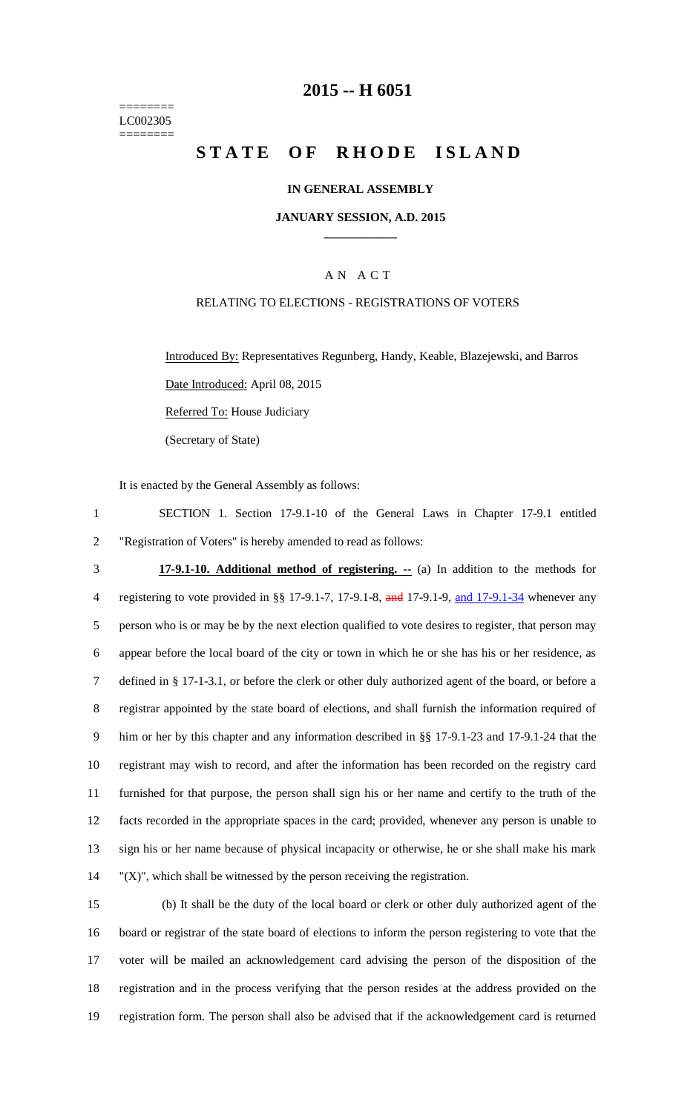======== LC002305 ========

### **2015 -- H 6051**

# **STATE OF RHODE ISLAND**

### **IN GENERAL ASSEMBLY**

#### **JANUARY SESSION, A.D. 2015 \_\_\_\_\_\_\_\_\_\_\_\_**

### A N A C T

### RELATING TO ELECTIONS - REGISTRATIONS OF VOTERS

Introduced By: Representatives Regunberg, Handy, Keable, Blazejewski, and Barros Date Introduced: April 08, 2015

Referred To: House Judiciary

(Secretary of State)

It is enacted by the General Assembly as follows:

1 SECTION 1. Section 17-9.1-10 of the General Laws in Chapter 17-9.1 entitled 2 "Registration of Voters" is hereby amended to read as follows:

 **17-9.1-10. Additional method of registering. --** (a) In addition to the methods for 4 registering to vote provided in §§ 17-9.1-7, 17-9.1-8, and 17-9.1-9, and 17-9.1-34 whenever any person who is or may be by the next election qualified to vote desires to register, that person may appear before the local board of the city or town in which he or she has his or her residence, as defined in § 17-1-3.1, or before the clerk or other duly authorized agent of the board, or before a registrar appointed by the state board of elections, and shall furnish the information required of him or her by this chapter and any information described in §§ 17-9.1-23 and 17-9.1-24 that the registrant may wish to record, and after the information has been recorded on the registry card furnished for that purpose, the person shall sign his or her name and certify to the truth of the facts recorded in the appropriate spaces in the card; provided, whenever any person is unable to sign his or her name because of physical incapacity or otherwise, he or she shall make his mark "(X)", which shall be witnessed by the person receiving the registration.

 (b) It shall be the duty of the local board or clerk or other duly authorized agent of the board or registrar of the state board of elections to inform the person registering to vote that the voter will be mailed an acknowledgement card advising the person of the disposition of the registration and in the process verifying that the person resides at the address provided on the registration form. The person shall also be advised that if the acknowledgement card is returned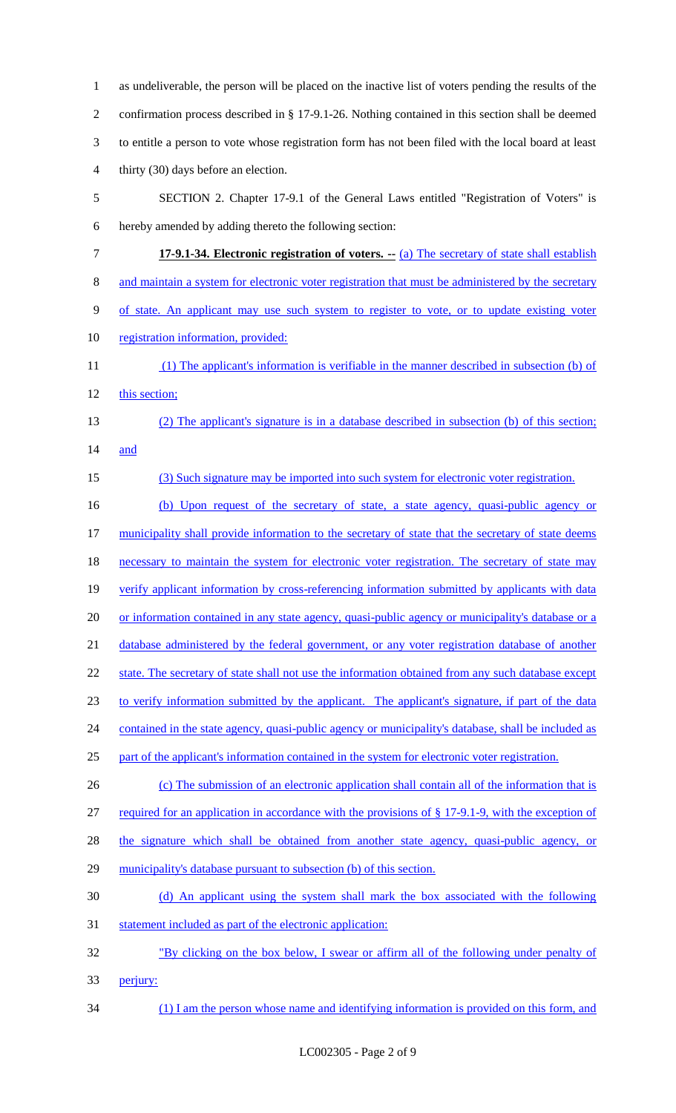as undeliverable, the person will be placed on the inactive list of voters pending the results of the confirmation process described in § 17-9.1-26. Nothing contained in this section shall be deemed to entitle a person to vote whose registration form has not been filed with the local board at least thirty (30) days before an election. SECTION 2. Chapter 17-9.1 of the General Laws entitled "Registration of Voters" is hereby amended by adding thereto the following section: **17-9.1-34. Electronic registration of voters.** -- (a) The secretary of state shall establish 8 and maintain a system for electronic voter registration that must be administered by the secretary of state. An applicant may use such system to register to vote, or to update existing voter 10 registration information, provided: (1) The applicant's information is verifiable in the manner described in subsection (b) of 12 this section; (2) The applicant's signature is in a database described in subsection (b) of this section; and (3) Such signature may be imported into such system for electronic voter registration. (b) Upon request of the secretary of state, a state agency, quasi-public agency or 17 municipality shall provide information to the secretary of state that the secretary of state deems 18 necessary to maintain the system for electronic voter registration. The secretary of state may 19 verify applicant information by cross-referencing information submitted by applicants with data 20 or information contained in any state agency, quasi-public agency or municipality's database or a 21 database administered by the federal government, or any voter registration database of another 22 state. The secretary of state shall not use the information obtained from any such database except to verify information submitted by the applicant. The applicant's signature, if part of the data 24 contained in the state agency, quasi-public agency or municipality's database, shall be included as part of the applicant's information contained in the system for electronic voter registration. (c) The submission of an electronic application shall contain all of the information that is required for an application in accordance with the provisions of § 17-9.1-9, with the exception of the signature which shall be obtained from another state agency, quasi-public agency, or 29 municipality's database pursuant to subsection (b) of this section. (d) An applicant using the system shall mark the box associated with the following 31 statement included as part of the electronic application: "By clicking on the box below, I swear or affirm all of the following under penalty of perjury: (1) I am the person whose name and identifying information is provided on this form, and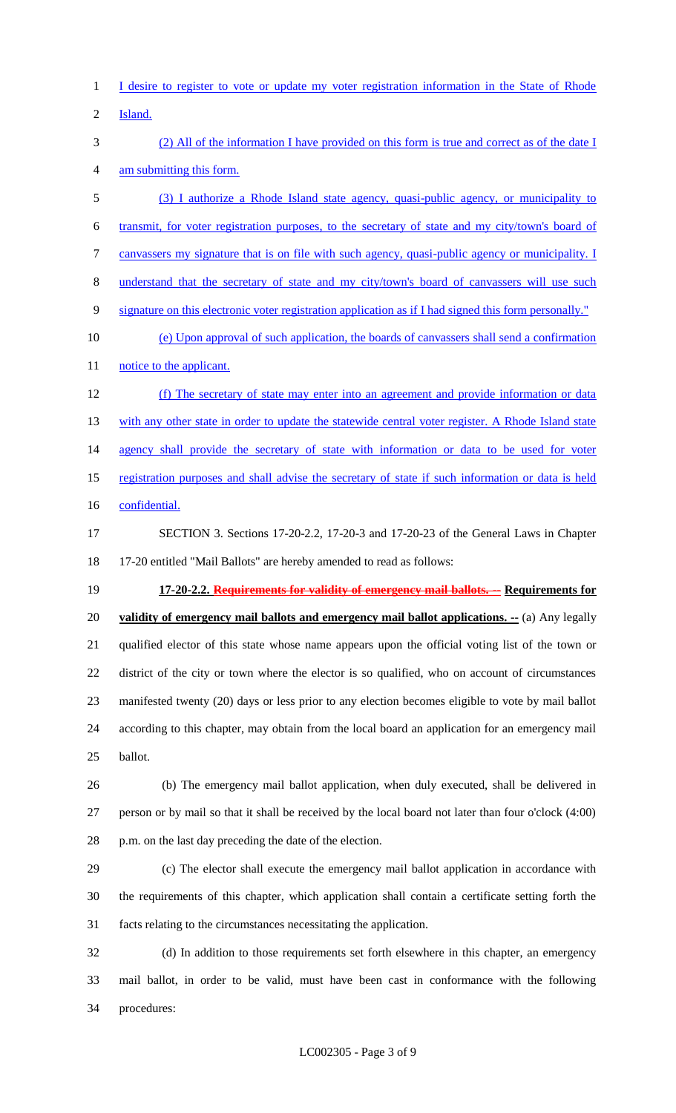I desire to register to vote or update my voter registration information in the State of Rhode

Island.

 (2) All of the information I have provided on this form is true and correct as of the date I am submitting this form.

 (3) I authorize a Rhode Island state agency, quasi-public agency, or municipality to transmit, for voter registration purposes, to the secretary of state and my city/town's board of canvassers my signature that is on file with such agency, quasi-public agency or municipality. I understand that the secretary of state and my city/town's board of canvassers will use such signature on this electronic voter registration application as if I had signed this form personally."

 (e) Upon approval of such application, the boards of canvassers shall send a confirmation 11 notice to the applicant.

 (f) The secretary of state may enter into an agreement and provide information or data 13 with any other state in order to update the statewide central voter register. A Rhode Island state 14 agency shall provide the secretary of state with information or data to be used for voter registration purposes and shall advise the secretary of state if such information or data is held 16 confidential.

 SECTION 3. Sections 17-20-2.2, 17-20-3 and 17-20-23 of the General Laws in Chapter 17-20 entitled "Mail Ballots" are hereby amended to read as follows:

 **17-20-2.2. Requirements for validity of emergency mail ballots. -- Requirements for validity of emergency mail ballots and emergency mail ballot applications. --** (a) Any legally qualified elector of this state whose name appears upon the official voting list of the town or district of the city or town where the elector is so qualified, who on account of circumstances manifested twenty (20) days or less prior to any election becomes eligible to vote by mail ballot according to this chapter, may obtain from the local board an application for an emergency mail ballot.

 (b) The emergency mail ballot application, when duly executed, shall be delivered in person or by mail so that it shall be received by the local board not later than four o'clock (4:00) p.m. on the last day preceding the date of the election.

 (c) The elector shall execute the emergency mail ballot application in accordance with the requirements of this chapter, which application shall contain a certificate setting forth the facts relating to the circumstances necessitating the application.

 (d) In addition to those requirements set forth elsewhere in this chapter, an emergency mail ballot, in order to be valid, must have been cast in conformance with the following procedures: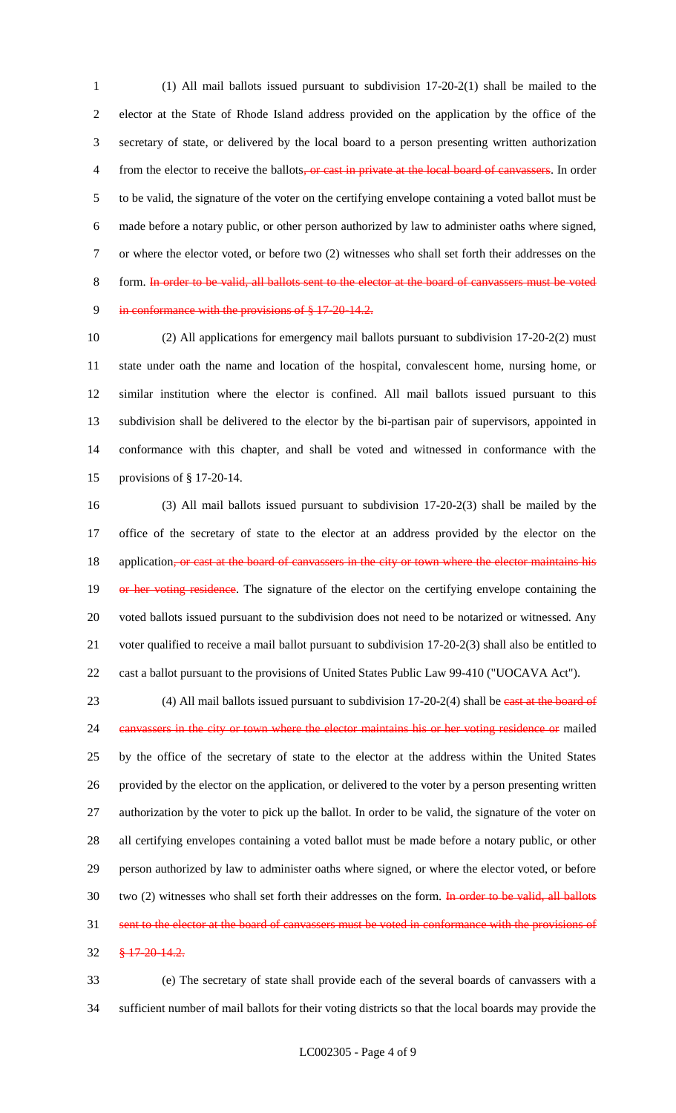(1) All mail ballots issued pursuant to subdivision 17-20-2(1) shall be mailed to the elector at the State of Rhode Island address provided on the application by the office of the secretary of state, or delivered by the local board to a person presenting written authorization 4 from the elector to receive the ballots, or cast in private at the local board of canvassers. In order to be valid, the signature of the voter on the certifying envelope containing a voted ballot must be made before a notary public, or other person authorized by law to administer oaths where signed, or where the elector voted, or before two (2) witnesses who shall set forth their addresses on the 8 form. In order to be valid, all ballots sent to the elector at the board of canvassers must be voted in conformance with the provisions of § 17-20-14.2.

 (2) All applications for emergency mail ballots pursuant to subdivision 17-20-2(2) must state under oath the name and location of the hospital, convalescent home, nursing home, or similar institution where the elector is confined. All mail ballots issued pursuant to this subdivision shall be delivered to the elector by the bi-partisan pair of supervisors, appointed in conformance with this chapter, and shall be voted and witnessed in conformance with the provisions of § 17-20-14.

 (3) All mail ballots issued pursuant to subdivision 17-20-2(3) shall be mailed by the office of the secretary of state to the elector at an address provided by the elector on the 18 application, or cast at the board of canvassers in the city or town where the elector maintains his 19 or her voting residence. The signature of the elector on the certifying envelope containing the voted ballots issued pursuant to the subdivision does not need to be notarized or witnessed. Any voter qualified to receive a mail ballot pursuant to subdivision 17-20-2(3) shall also be entitled to cast a ballot pursuant to the provisions of United States Public Law 99-410 ("UOCAVA Act").

23 (4) All mail ballots issued pursuant to subdivision 17-20-2(4) shall be east at the board of 24 canvassers in the city or town where the elector maintains his or her voting residence or mailed by the office of the secretary of state to the elector at the address within the United States provided by the elector on the application, or delivered to the voter by a person presenting written authorization by the voter to pick up the ballot. In order to be valid, the signature of the voter on all certifying envelopes containing a voted ballot must be made before a notary public, or other person authorized by law to administer oaths where signed, or where the elector voted, or before 30 two (2) witnesses who shall set forth their addresses on the form. In order to be valid, all ballots sent to the elector at the board of canvassers must be voted in conformance with the provisions of § 17-20-14.2.

 (e) The secretary of state shall provide each of the several boards of canvassers with a sufficient number of mail ballots for their voting districts so that the local boards may provide the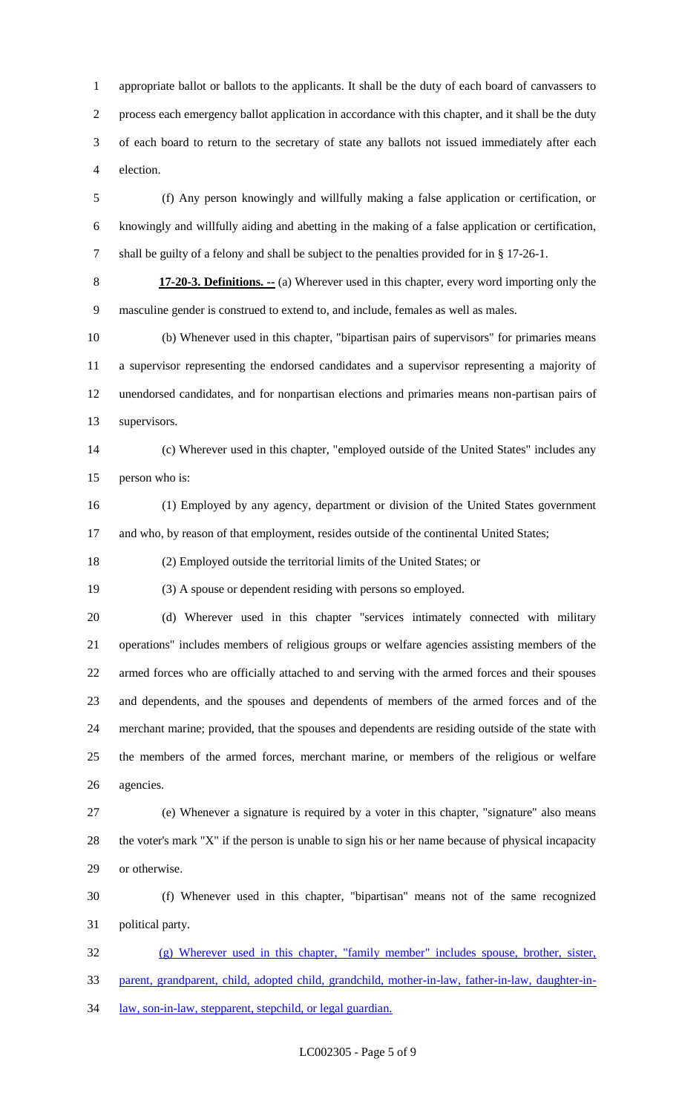appropriate ballot or ballots to the applicants. It shall be the duty of each board of canvassers to process each emergency ballot application in accordance with this chapter, and it shall be the duty of each board to return to the secretary of state any ballots not issued immediately after each election.

 (f) Any person knowingly and willfully making a false application or certification, or knowingly and willfully aiding and abetting in the making of a false application or certification, shall be guilty of a felony and shall be subject to the penalties provided for in § 17-26-1.

 **17-20-3. Definitions. --** (a) Wherever used in this chapter, every word importing only the masculine gender is construed to extend to, and include, females as well as males.

 (b) Whenever used in this chapter, "bipartisan pairs of supervisors" for primaries means a supervisor representing the endorsed candidates and a supervisor representing a majority of unendorsed candidates, and for nonpartisan elections and primaries means non-partisan pairs of supervisors.

 (c) Wherever used in this chapter, "employed outside of the United States" includes any person who is:

 (1) Employed by any agency, department or division of the United States government and who, by reason of that employment, resides outside of the continental United States;

(2) Employed outside the territorial limits of the United States; or

(3) A spouse or dependent residing with persons so employed.

 (d) Wherever used in this chapter "services intimately connected with military operations" includes members of religious groups or welfare agencies assisting members of the armed forces who are officially attached to and serving with the armed forces and their spouses and dependents, and the spouses and dependents of members of the armed forces and of the merchant marine; provided, that the spouses and dependents are residing outside of the state with the members of the armed forces, merchant marine, or members of the religious or welfare agencies.

 (e) Whenever a signature is required by a voter in this chapter, "signature" also means the voter's mark "X" if the person is unable to sign his or her name because of physical incapacity or otherwise.

 (f) Whenever used in this chapter, "bipartisan" means not of the same recognized political party.

 (g) Wherever used in this chapter, "family member" includes spouse, brother, sister, parent, grandparent, child, adopted child, grandchild, mother-in-law, father-in-law, daughter-in-34 law, son-in-law, stepparent, stepchild, or legal guardian.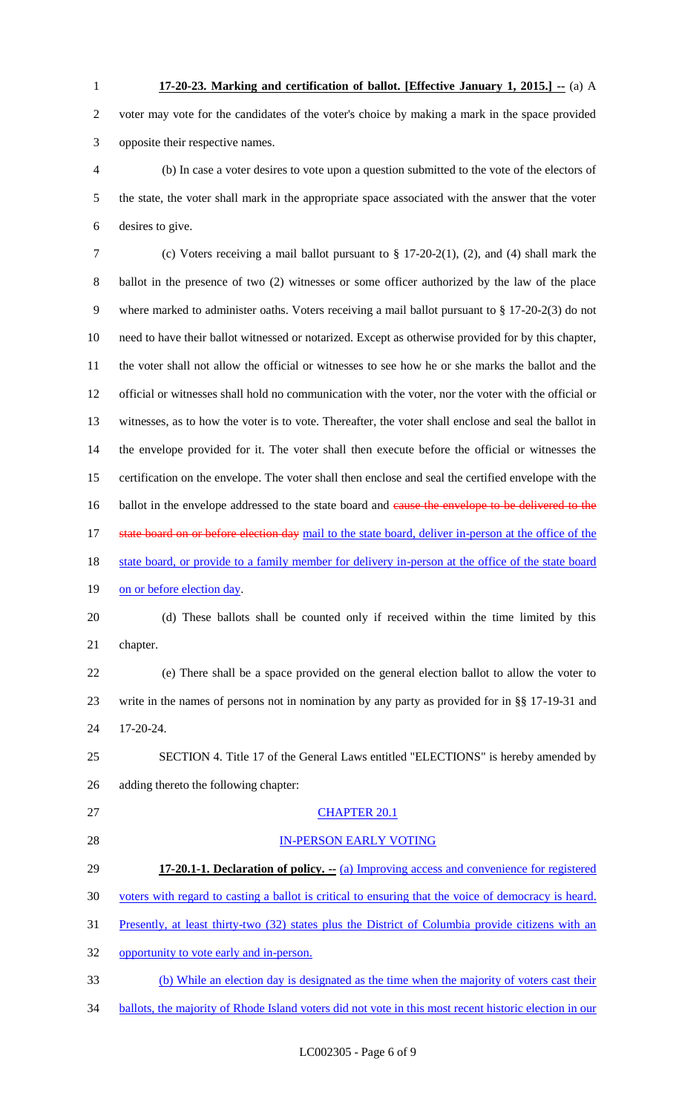voter may vote for the candidates of the voter's choice by making a mark in the space provided opposite their respective names.

 (b) In case a voter desires to vote upon a question submitted to the vote of the electors of the state, the voter shall mark in the appropriate space associated with the answer that the voter desires to give.

 (c) Voters receiving a mail ballot pursuant to § 17-20-2(1), (2), and (4) shall mark the ballot in the presence of two (2) witnesses or some officer authorized by the law of the place where marked to administer oaths. Voters receiving a mail ballot pursuant to § 17-20-2(3) do not need to have their ballot witnessed or notarized. Except as otherwise provided for by this chapter, the voter shall not allow the official or witnesses to see how he or she marks the ballot and the official or witnesses shall hold no communication with the voter, nor the voter with the official or witnesses, as to how the voter is to vote. Thereafter, the voter shall enclose and seal the ballot in the envelope provided for it. The voter shall then execute before the official or witnesses the certification on the envelope. The voter shall then enclose and seal the certified envelope with the 16 ballot in the envelope addressed to the state board and cause the envelope to be delivered to the 17 state board on or before election day mail to the state board, deliver in-person at the office of the 18 state board, or provide to a family member for delivery in-person at the office of the state board 19 on or before election day.

 (d) These ballots shall be counted only if received within the time limited by this chapter.

 (e) There shall be a space provided on the general election ballot to allow the voter to write in the names of persons not in nomination by any party as provided for in §§ 17-19-31 and 17-20-24.

 SECTION 4. Title 17 of the General Laws entitled "ELECTIONS" is hereby amended by adding thereto the following chapter:

# CHAPTER 20.1

IN-PERSON EARLY VOTING

**17-20.1-1. Declaration of policy. --** (a) Improving access and convenience for registered

voters with regard to casting a ballot is critical to ensuring that the voice of democracy is heard.

Presently, at least thirty-two (32) states plus the District of Columbia provide citizens with an

opportunity to vote early and in-person.

(b) While an election day is designated as the time when the majority of voters cast their

34 ballots, the majority of Rhode Island voters did not vote in this most recent historic election in our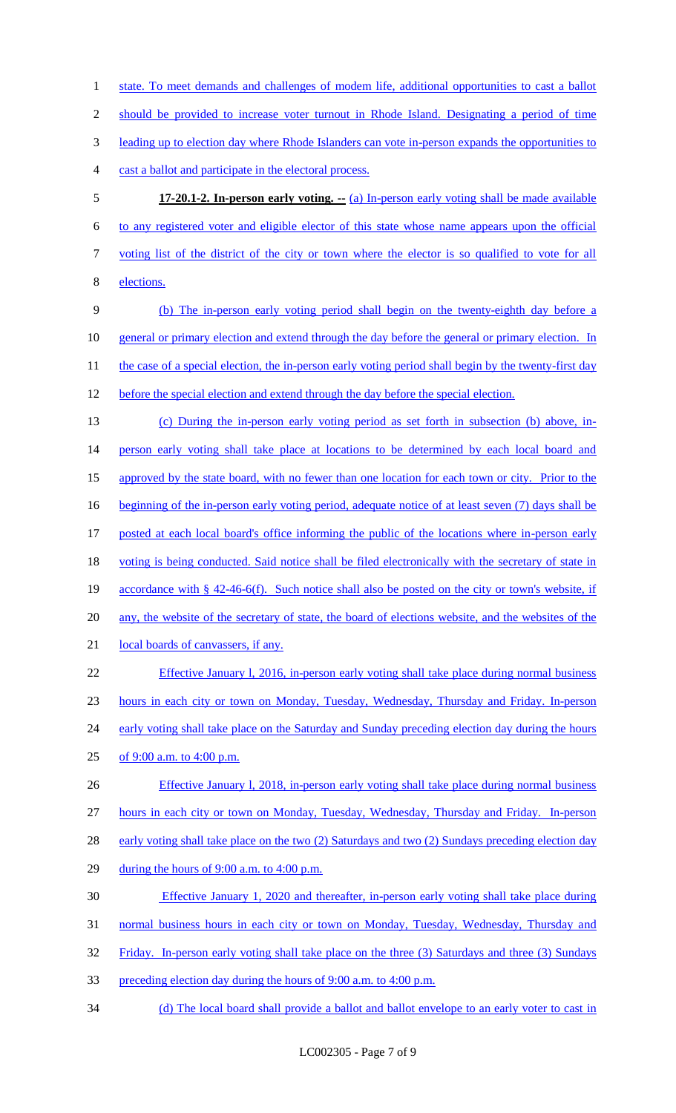should be provided to increase voter turnout in Rhode Island. Designating a period of time leading up to election day where Rhode Islanders can vote in-person expands the opportunities to cast a ballot and participate in the electoral process. **17-20.1-2. In-person early voting. --** (a) In-person early voting shall be made available to any registered voter and eligible elector of this state whose name appears upon the official voting list of the district of the city or town where the elector is so qualified to vote for all elections. (b) The in-person early voting period shall begin on the twenty-eighth day before a general or primary election and extend through the day before the general or primary election. In 11 the case of a special election, the in-person early voting period shall begin by the twenty-first day 12 before the special election and extend through the day before the special election. (c) During the in-person early voting period as set forth in subsection (b) above, in-14 person early voting shall take place at locations to be determined by each local board and 15 approved by the state board, with no fewer than one location for each town or city. Prior to the beginning of the in-person early voting period, adequate notice of at least seven (7) days shall be posted at each local board's office informing the public of the locations where in-person early voting is being conducted. Said notice shall be filed electronically with the secretary of state in accordance with § 42-46-6(f). Such notice shall also be posted on the city or town's website, if any, the website of the secretary of state, the board of elections website, and the websites of the 21 local boards of canvassers, if any. Effective January l, 2016, in-person early voting shall take place during normal business hours in each city or town on Monday, Tuesday, Wednesday, Thursday and Friday. In-person 24 early voting shall take place on the Saturday and Sunday preceding election day during the hours of 9:00 a.m. to 4:00 p.m. Effective January l, 2018, in-person early voting shall take place during normal business hours in each city or town on Monday, Tuesday, Wednesday, Thursday and Friday. In-person 28 early voting shall take place on the two (2) Saturdays and two (2) Sundays preceding election day during the hours of 9:00 a.m. to 4:00 p.m. Effective January 1, 2020 and thereafter, in-person early voting shall take place during normal business hours in each city or town on Monday, Tuesday, Wednesday, Thursday and Friday. In-person early voting shall take place on the three (3) Saturdays and three (3) Sundays preceding election day during the hours of 9:00 a.m. to 4:00 p.m. 34 (d) The local board shall provide a ballot and ballot envelope to an early voter to cast in

1 state. To meet demands and challenges of modem life, additional opportunities to cast a ballot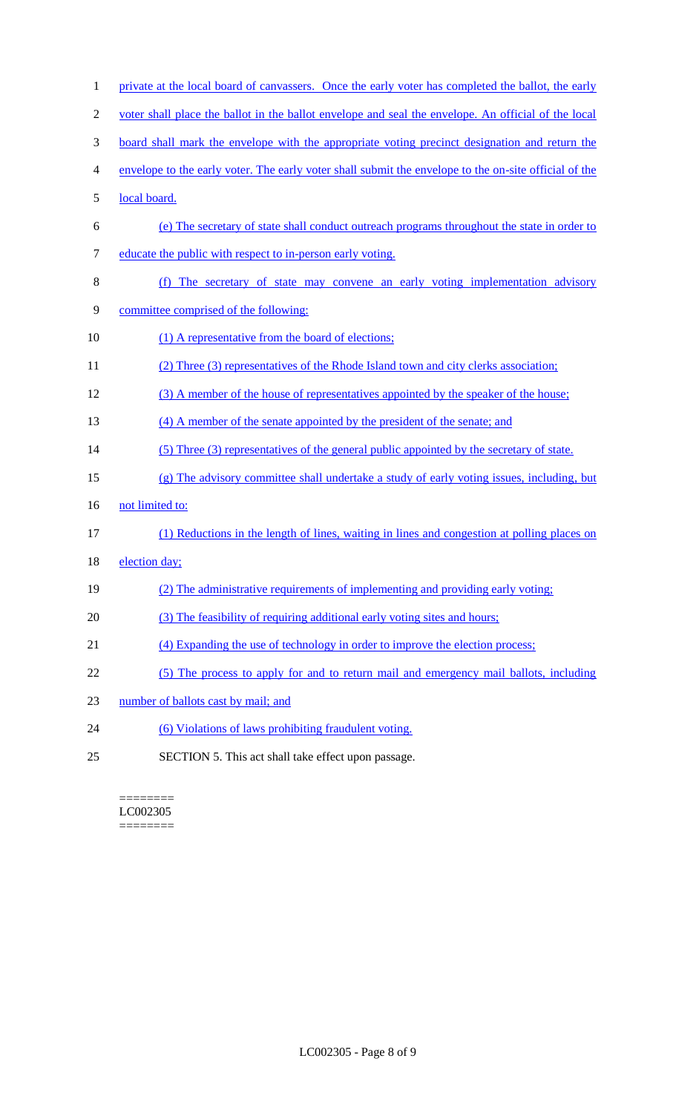| $\mathbf{1}$   | private at the local board of canvassers. Once the early voter has completed the ballot, the early    |
|----------------|-------------------------------------------------------------------------------------------------------|
| $\overline{2}$ | voter shall place the ballot in the ballot envelope and seal the envelope. An official of the local   |
| 3              | <u>board shall mark the envelope with the appropriate voting precinct designation and return the</u>  |
| 4              | envelope to the early voter. The early voter shall submit the envelope to the on-site official of the |
| 5              | local board.                                                                                          |
| 6              | (e) The secretary of state shall conduct outreach programs throughout the state in order to           |
| 7              | educate the public with respect to in-person early voting.                                            |
| 8              | (f) The secretary of state may convene an early voting implementation advisory                        |
| 9              | committee comprised of the following:                                                                 |
| 10             | (1) A representative from the board of elections;                                                     |
| 11             | (2) Three (3) representatives of the Rhode Island town and city clerks association;                   |
| 12             | (3) A member of the house of representatives appointed by the speaker of the house;                   |
| 13             | (4) A member of the senate appointed by the president of the senate; and                              |
| 14             | (5) Three (3) representatives of the general public appointed by the secretary of state.              |
| 15             | (g) The advisory committee shall undertake a study of early voting issues, including, but             |
| 16             | not limited to:                                                                                       |
| 17             | (1) Reductions in the length of lines, waiting in lines and congestion at polling places on           |
| 18             | election day;                                                                                         |
| 19             | (2) The administrative requirements of implementing and providing early voting;                       |
| 20             | (3) The feasibility of requiring additional early voting sites and hours;                             |
| 21             | (4) Expanding the use of technology in order to improve the election process;                         |
| 22             | (5) The process to apply for and to return mail and emergency mail ballots, including                 |
| 23             | number of ballots cast by mail; and                                                                   |
| 24             | (6) Violations of laws prohibiting fraudulent voting.                                                 |
| 25             | SECTION 5. This act shall take effect upon passage.                                                   |

======== LC002305 ========